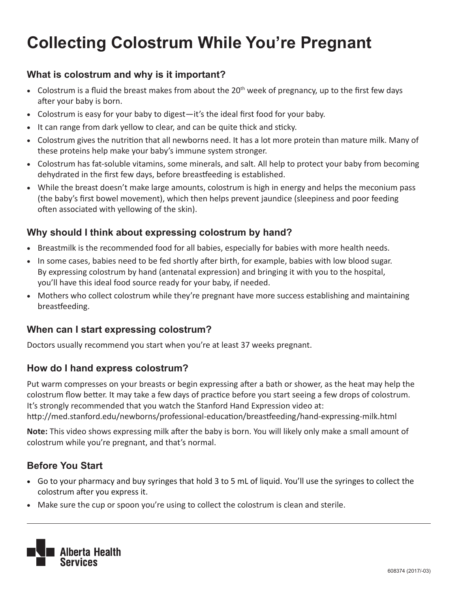# **Collecting Colostrum While You're Pregnant**

### **What is colostrum and why is it important?**

- Colostrum is a fluid the breast makes from about the  $20<sup>th</sup>$  week of pregnancy, up to the first few days after your baby is born.
- Colostrum is easy for your baby to digest—it's the ideal first food for your baby.
- It can range from dark yellow to clear, and can be quite thick and sticky.
- • Colostrum gives the nutrition that all newborns need. It has a lot more protein than mature milk. Many of these proteins help make your baby's immune system stronger.
- Colostrum has fat-soluble vitamins, some minerals, and salt. All help to protect your baby from becoming dehydrated in the first few days, before breastfeeding is established.
- While the breast doesn't make large amounts, colostrum is high in energy and helps the meconium pass (the baby's first bowel movement), which then helps prevent jaundice (sleepiness and poor feeding often associated with yellowing of the skin).

#### **Why should I think about expressing colostrum by hand?**

- • Breastmilk is the recommended food for all babies, especially for babies with more health needs.
- In some cases, babies need to be fed shortly after birth, for example, babies with low blood sugar. By expressing colostrum by hand (antenatal expression) and bringing it with you to the hospital, you'll have this ideal food source ready for your baby, if needed.
- Mothers who collect colostrum while they're pregnant have more success establishing and maintaining breastfeeding.

#### **When can I start expressing colostrum?**

Doctors usually recommend you start when you're at least 37 weeks pregnant.

#### **How do I hand express colostrum?**

Put warm compresses on your breasts or begin expressing after a bath or shower, as the heat may help the colostrum flow better. It may take a few days of practice before you start seeing a few drops of colostrum. It's strongly recommended that you watch the Stanford Hand Expression video at: http://med.stanford.edu/newborns/professional-education/breastfeeding/hand-expressing-milk.html

**Note:** This video shows expressing milk after the baby is born. You will likely only make a small amount of colostrum while you're pregnant, and that's normal.

#### **Before You Start**

- • Go to your pharmacy and buy syringes that hold 3 to 5 mL of liquid. You'll use the syringes to collect the colostrum after you express it.
- Make sure the cup or spoon you're using to collect the colostrum is clean and sterile.